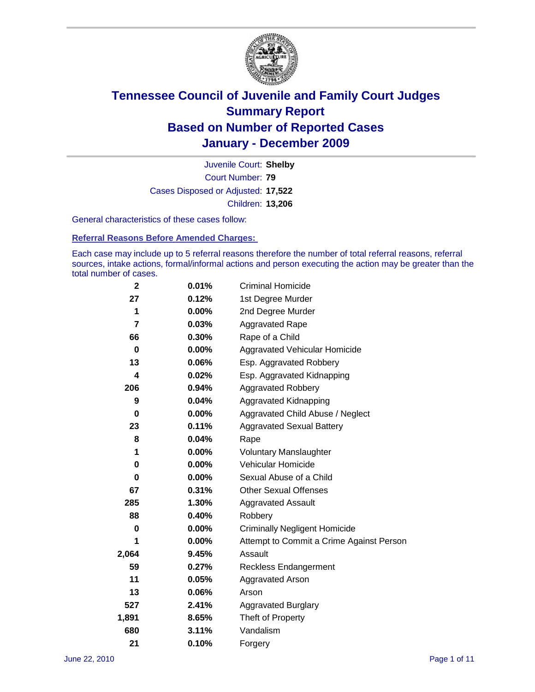

Court Number: **79** Juvenile Court: **Shelby** Cases Disposed or Adjusted: **17,522** Children: **13,206**

General characteristics of these cases follow:

**Referral Reasons Before Amended Charges:** 

Each case may include up to 5 referral reasons therefore the number of total referral reasons, referral sources, intake actions, formal/informal actions and person executing the action may be greater than the total number of cases.

| $\mathbf{2}$            | 0.01%    | <b>Criminal Homicide</b>                 |
|-------------------------|----------|------------------------------------------|
| 27                      | 0.12%    | 1st Degree Murder                        |
| 1                       | 0.00%    | 2nd Degree Murder                        |
| $\overline{\mathbf{r}}$ | 0.03%    | <b>Aggravated Rape</b>                   |
| 66                      | 0.30%    | Rape of a Child                          |
| 0                       | 0.00%    | Aggravated Vehicular Homicide            |
| 13                      | 0.06%    | Esp. Aggravated Robbery                  |
| 4                       | 0.02%    | Esp. Aggravated Kidnapping               |
| 206                     | 0.94%    | <b>Aggravated Robbery</b>                |
| 9                       | 0.04%    | Aggravated Kidnapping                    |
| 0                       | $0.00\%$ | Aggravated Child Abuse / Neglect         |
| 23                      | 0.11%    | <b>Aggravated Sexual Battery</b>         |
| 8                       | 0.04%    | Rape                                     |
| 1                       | 0.00%    | <b>Voluntary Manslaughter</b>            |
| $\pmb{0}$               | 0.00%    | Vehicular Homicide                       |
| 0                       | 0.00%    | Sexual Abuse of a Child                  |
| 67                      | 0.31%    | <b>Other Sexual Offenses</b>             |
| 285                     | 1.30%    | <b>Aggravated Assault</b>                |
| 88                      | 0.40%    | Robbery                                  |
| 0                       | 0.00%    | <b>Criminally Negligent Homicide</b>     |
| 1                       | 0.00%    | Attempt to Commit a Crime Against Person |
| 2,064                   | 9.45%    | Assault                                  |
| 59                      | 0.27%    | <b>Reckless Endangerment</b>             |
| 11                      | 0.05%    | <b>Aggravated Arson</b>                  |
| 13                      | 0.06%    | Arson                                    |
| 527                     | 2.41%    | <b>Aggravated Burglary</b>               |
| 1,891                   | 8.65%    | Theft of Property                        |
| 680                     | 3.11%    | Vandalism                                |
| 21                      | 0.10%    | Forgery                                  |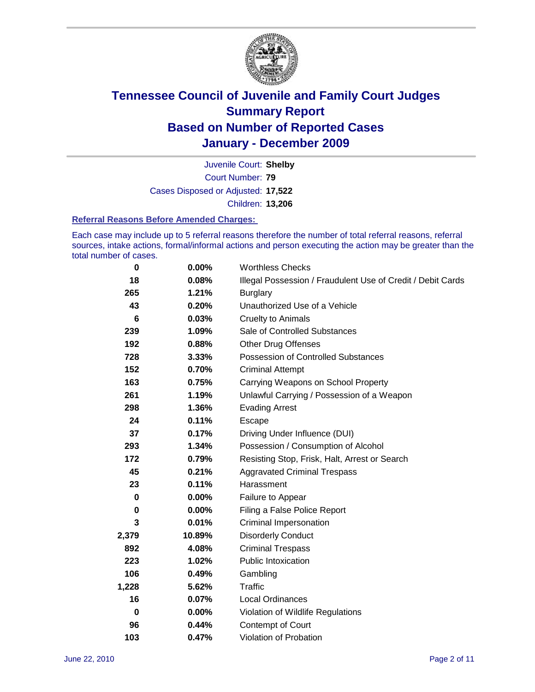

Court Number: **79** Juvenile Court: **Shelby** Cases Disposed or Adjusted: **17,522** Children: **13,206**

#### **Referral Reasons Before Amended Charges:**

Each case may include up to 5 referral reasons therefore the number of total referral reasons, referral sources, intake actions, formal/informal actions and person executing the action may be greater than the total number of cases.

| 0     | 0.00%    | <b>Worthless Checks</b>                                     |
|-------|----------|-------------------------------------------------------------|
| 18    | 0.08%    | Illegal Possession / Fraudulent Use of Credit / Debit Cards |
| 265   | 1.21%    | <b>Burglary</b>                                             |
| 43    | 0.20%    | Unauthorized Use of a Vehicle                               |
| 6     | 0.03%    | <b>Cruelty to Animals</b>                                   |
| 239   | 1.09%    | Sale of Controlled Substances                               |
| 192   | 0.88%    | <b>Other Drug Offenses</b>                                  |
| 728   | 3.33%    | Possession of Controlled Substances                         |
| 152   | 0.70%    | <b>Criminal Attempt</b>                                     |
| 163   | 0.75%    | Carrying Weapons on School Property                         |
| 261   | 1.19%    | Unlawful Carrying / Possession of a Weapon                  |
| 298   | 1.36%    | <b>Evading Arrest</b>                                       |
| 24    | 0.11%    | Escape                                                      |
| 37    | 0.17%    | Driving Under Influence (DUI)                               |
| 293   | 1.34%    | Possession / Consumption of Alcohol                         |
| 172   | 0.79%    | Resisting Stop, Frisk, Halt, Arrest or Search               |
| 45    | 0.21%    | <b>Aggravated Criminal Trespass</b>                         |
| 23    | 0.11%    | Harassment                                                  |
| 0     | 0.00%    | Failure to Appear                                           |
| 0     | $0.00\%$ | Filing a False Police Report                                |
| 3     | 0.01%    | <b>Criminal Impersonation</b>                               |
| 2,379 | 10.89%   | <b>Disorderly Conduct</b>                                   |
| 892   | 4.08%    | <b>Criminal Trespass</b>                                    |
| 223   | 1.02%    | <b>Public Intoxication</b>                                  |
| 106   | 0.49%    | Gambling                                                    |
| 1,228 | 5.62%    | <b>Traffic</b>                                              |
| 16    | 0.07%    | <b>Local Ordinances</b>                                     |
| 0     | 0.00%    | Violation of Wildlife Regulations                           |
| 96    | 0.44%    | Contempt of Court                                           |
| 103   | 0.47%    | Violation of Probation                                      |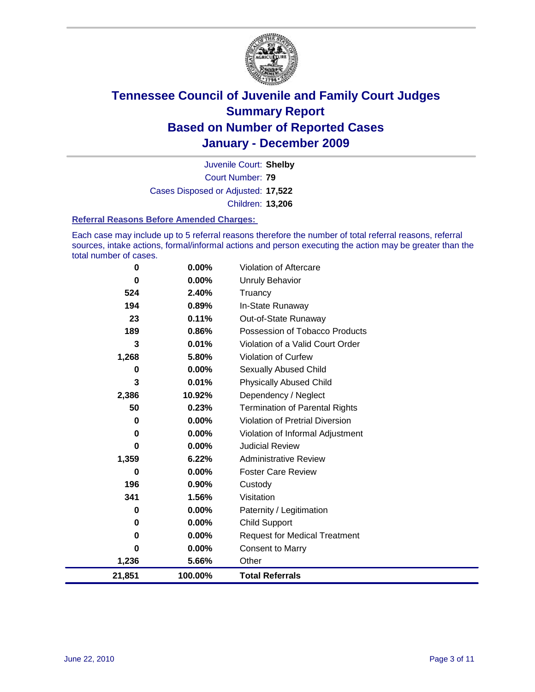

Court Number: **79** Juvenile Court: **Shelby** Cases Disposed or Adjusted: **17,522** Children: **13,206**

#### **Referral Reasons Before Amended Charges:**

Each case may include up to 5 referral reasons therefore the number of total referral reasons, referral sources, intake actions, formal/informal actions and person executing the action may be greater than the total number of cases.

| 0        | 0.00%    | <b>Violation of Aftercare</b>          |
|----------|----------|----------------------------------------|
| $\bf{0}$ | $0.00\%$ | <b>Unruly Behavior</b>                 |
| 524      | 2.40%    | Truancy                                |
| 194      | 0.89%    | In-State Runaway                       |
| 23       | 0.11%    | Out-of-State Runaway                   |
| 189      | 0.86%    | Possession of Tobacco Products         |
| 3        | 0.01%    | Violation of a Valid Court Order       |
| 1,268    | 5.80%    | <b>Violation of Curfew</b>             |
| 0        | $0.00\%$ | Sexually Abused Child                  |
| 3        | 0.01%    | <b>Physically Abused Child</b>         |
| 2,386    | 10.92%   | Dependency / Neglect                   |
| 50       | 0.23%    | <b>Termination of Parental Rights</b>  |
| 0        | 0.00%    | <b>Violation of Pretrial Diversion</b> |
| 0        | $0.00\%$ | Violation of Informal Adjustment       |
| 0        | 0.00%    | <b>Judicial Review</b>                 |
| 1,359    | 6.22%    | <b>Administrative Review</b>           |
| 0        | $0.00\%$ | <b>Foster Care Review</b>              |
| 196      | $0.90\%$ | Custody                                |
| 341      | 1.56%    | Visitation                             |
| 0        | $0.00\%$ | Paternity / Legitimation               |
| 0        | 0.00%    | <b>Child Support</b>                   |
| 0        | $0.00\%$ | <b>Request for Medical Treatment</b>   |
| $\bf{0}$ | $0.00\%$ | <b>Consent to Marry</b>                |
| 1,236    | 5.66%    | Other                                  |
| 21,851   | 100.00%  | <b>Total Referrals</b>                 |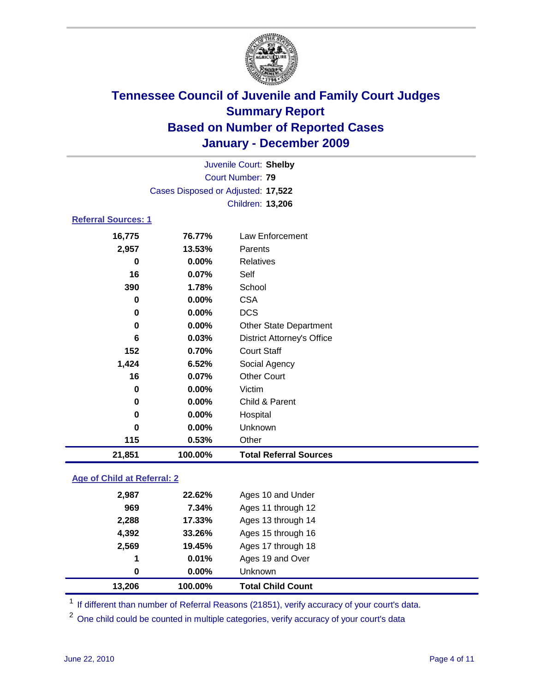

|                            | Juvenile Court: Shelby             |                                   |  |  |
|----------------------------|------------------------------------|-----------------------------------|--|--|
| <b>Court Number: 79</b>    |                                    |                                   |  |  |
|                            | Cases Disposed or Adjusted: 17,522 |                                   |  |  |
|                            |                                    | Children: 13,206                  |  |  |
| <b>Referral Sources: 1</b> |                                    |                                   |  |  |
| 16,775                     | 76.77%                             | <b>Law Enforcement</b>            |  |  |
| 2,957                      | 13.53%                             | Parents                           |  |  |
| 0                          | 0.00%                              | <b>Relatives</b>                  |  |  |
| 16                         | 0.07%                              | Self                              |  |  |
| 390                        | 1.78%                              | School                            |  |  |
| 0                          | 0.00%                              | <b>CSA</b>                        |  |  |
| 0                          | $0.00\%$                           | <b>DCS</b>                        |  |  |
| 0                          | 0.00%                              | <b>Other State Department</b>     |  |  |
| 6                          | 0.03%                              | <b>District Attorney's Office</b> |  |  |
| 152                        | 0.70%                              | <b>Court Staff</b>                |  |  |
| 1,424                      | 6.52%                              | Social Agency                     |  |  |
| 16                         | 0.07%                              | <b>Other Court</b>                |  |  |
| 0                          | 0.00%                              | Victim                            |  |  |
| 0                          | $0.00\%$                           | Child & Parent                    |  |  |
| 0                          | $0.00\%$                           | Hospital                          |  |  |
| 0                          | $0.00\%$                           | Unknown                           |  |  |
| 115                        | 0.53%                              | Other                             |  |  |
| 21,851                     | 100.00%                            | <b>Total Referral Sources</b>     |  |  |
|                            |                                    |                                   |  |  |

### **Age of Child at Referral: 2**

| 13,206 | 100.00%  | <b>Total Child Count</b> |
|--------|----------|--------------------------|
| 0      | $0.00\%$ | <b>Unknown</b>           |
| 1      | 0.01%    | Ages 19 and Over         |
| 2,569  | 19.45%   | Ages 17 through 18       |
| 4,392  | 33.26%   | Ages 15 through 16       |
| 2,288  | 17.33%   | Ages 13 through 14       |
| 969    | 7.34%    | Ages 11 through 12       |
| 2,987  | 22.62%   | Ages 10 and Under        |
|        |          |                          |

<sup>1</sup> If different than number of Referral Reasons (21851), verify accuracy of your court's data.

<sup>2</sup> One child could be counted in multiple categories, verify accuracy of your court's data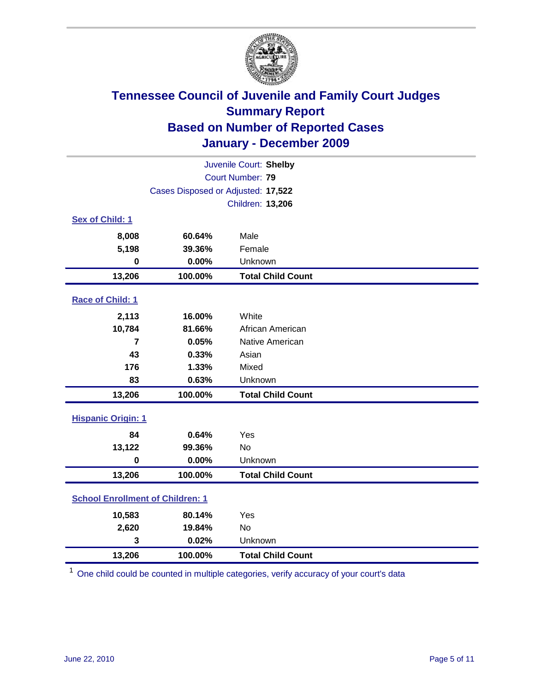

| Juvenile Court: Shelby                  |                                    |                          |  |
|-----------------------------------------|------------------------------------|--------------------------|--|
|                                         | Court Number: 79                   |                          |  |
|                                         | Cases Disposed or Adjusted: 17,522 |                          |  |
|                                         |                                    | Children: 13,206         |  |
| Sex of Child: 1                         |                                    |                          |  |
| 8,008                                   | 60.64%                             | Male                     |  |
| 5,198                                   | 39.36%                             | Female                   |  |
| $\mathbf 0$                             | 0.00%                              | Unknown                  |  |
| 13,206                                  | 100.00%                            | <b>Total Child Count</b> |  |
| Race of Child: 1                        |                                    |                          |  |
| 2,113                                   | 16.00%                             | White                    |  |
| 10,784                                  | 81.66%                             | African American         |  |
| 7                                       | 0.05%                              | Native American          |  |
| 43                                      | 0.33%                              | Asian                    |  |
| 176                                     | 1.33%                              | Mixed                    |  |
| 83                                      | 0.63%                              | Unknown                  |  |
| 13,206                                  | 100.00%                            | <b>Total Child Count</b> |  |
| <b>Hispanic Origin: 1</b>               |                                    |                          |  |
| 84                                      | 0.64%                              | Yes                      |  |
| 13,122                                  | 99.36%                             | <b>No</b>                |  |
| $\mathbf 0$                             | 0.00%                              | Unknown                  |  |
| 13,206                                  | 100.00%                            | <b>Total Child Count</b> |  |
| <b>School Enrollment of Children: 1</b> |                                    |                          |  |
| 10,583                                  | 80.14%                             | Yes                      |  |
| 2,620                                   | 19.84%                             | No                       |  |
| 3                                       | 0.02%                              | Unknown                  |  |
| 13,206                                  | 100.00%                            | <b>Total Child Count</b> |  |

<sup>1</sup> One child could be counted in multiple categories, verify accuracy of your court's data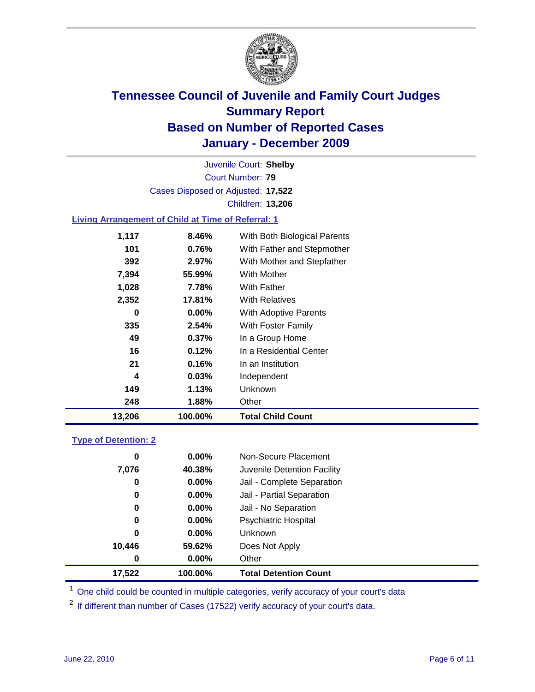

Court Number: **79** Juvenile Court: **Shelby** Cases Disposed or Adjusted: **17,522** Children: **13,206**

### **Living Arrangement of Child at Time of Referral: 1**

| 13,206 | 100.00%        | <b>Total Child Count</b>     |
|--------|----------------|------------------------------|
| 248    | 1.88%          | Other                        |
| 149    | 1.13%          | Unknown                      |
|        | 4<br>0.03%     | Independent                  |
| 21     | 0.16%          | In an Institution            |
|        | 16<br>0.12%    | In a Residential Center      |
|        | 49<br>$0.37\%$ | In a Group Home              |
| 335    | 2.54%          | With Foster Family           |
|        | 0<br>$0.00\%$  | With Adoptive Parents        |
| 2,352  | 17.81%         | <b>With Relatives</b>        |
| 1,028  | 7.78%          | <b>With Father</b>           |
| 7,394  | 55.99%         | <b>With Mother</b>           |
| 392    | 2.97%          | With Mother and Stepfather   |
| 101    | 0.76%          | With Father and Stepmother   |
| 1,117  | 8.46%          | With Both Biological Parents |
|        |                |                              |

#### **Type of Detention: 2**

| 17,522 | 100.00%  | <b>Total Detention Count</b> |
|--------|----------|------------------------------|
| 0      | $0.00\%$ | Other                        |
| 10,446 | 59.62%   | Does Not Apply               |
| 0      | $0.00\%$ | Unknown                      |
| 0      | $0.00\%$ | <b>Psychiatric Hospital</b>  |
| 0      | 0.00%    | Jail - No Separation         |
| 0      | $0.00\%$ | Jail - Partial Separation    |
| 0      | 0.00%    | Jail - Complete Separation   |
| 7,076  | 40.38%   | Juvenile Detention Facility  |
| 0      | $0.00\%$ | Non-Secure Placement         |
|        |          |                              |

<sup>1</sup> One child could be counted in multiple categories, verify accuracy of your court's data

<sup>2</sup> If different than number of Cases (17522) verify accuracy of your court's data.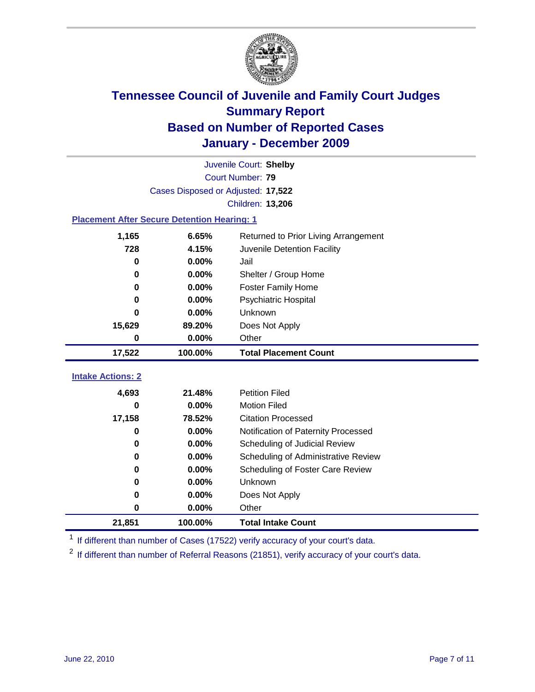

|                                                    | Juvenile Court: Shelby             |                                      |  |  |  |
|----------------------------------------------------|------------------------------------|--------------------------------------|--|--|--|
|                                                    | Court Number: 79                   |                                      |  |  |  |
|                                                    | Cases Disposed or Adjusted: 17,522 |                                      |  |  |  |
|                                                    |                                    | Children: 13,206                     |  |  |  |
| <b>Placement After Secure Detention Hearing: 1</b> |                                    |                                      |  |  |  |
| 1,165                                              | 6.65%                              | Returned to Prior Living Arrangement |  |  |  |
| 728                                                | 4.15%                              | Juvenile Detention Facility          |  |  |  |
| 0                                                  | 0.00%                              | Jail                                 |  |  |  |
| 0                                                  | 0.00%                              | Shelter / Group Home                 |  |  |  |
| 0                                                  | $0.00\%$                           | <b>Foster Family Home</b>            |  |  |  |
| 0                                                  | 0.00%                              | Psychiatric Hospital                 |  |  |  |
| 0                                                  | 0.00%                              | Unknown                              |  |  |  |
| 15,629                                             | 89.20%                             | Does Not Apply                       |  |  |  |
| 0                                                  | $0.00\%$                           | Other                                |  |  |  |
| 17,522                                             | 100.00%                            | <b>Total Placement Count</b>         |  |  |  |
| <b>Intake Actions: 2</b>                           |                                    |                                      |  |  |  |
|                                                    |                                    |                                      |  |  |  |
| 4,693                                              | 21.48%                             | <b>Petition Filed</b>                |  |  |  |
| 0                                                  | 0.00%                              | <b>Motion Filed</b>                  |  |  |  |
| 17,158                                             | 78.52%                             | <b>Citation Processed</b>            |  |  |  |
| 0                                                  | 0.00%                              | Notification of Paternity Processed  |  |  |  |
| 0                                                  | 0.00%                              | Scheduling of Judicial Review        |  |  |  |
| 0                                                  | 0.00%                              | Scheduling of Administrative Review  |  |  |  |
| 0                                                  | 0.00%                              | Scheduling of Foster Care Review     |  |  |  |
| 0                                                  | 0.00%                              | Unknown                              |  |  |  |
| 0                                                  | $0.00\%$                           | Does Not Apply                       |  |  |  |
| 0                                                  | 0.00%                              | Other                                |  |  |  |
| 21,851                                             |                                    |                                      |  |  |  |

<sup>1</sup> If different than number of Cases (17522) verify accuracy of your court's data.

<sup>2</sup> If different than number of Referral Reasons (21851), verify accuracy of your court's data.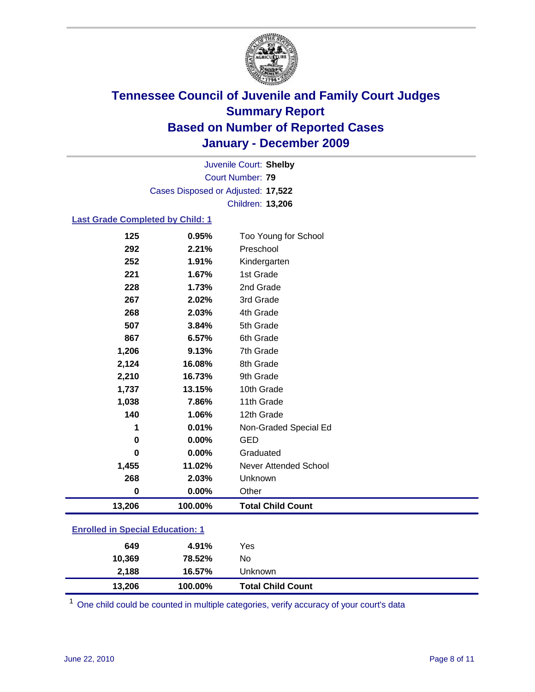

Court Number: **79** Juvenile Court: **Shelby** Cases Disposed or Adjusted: **17,522** Children: **13,206**

### **Last Grade Completed by Child: 1**

| 125                                     | 0.95%    | Too Young for School         |  |
|-----------------------------------------|----------|------------------------------|--|
| 292                                     | 2.21%    | Preschool                    |  |
| 252                                     | 1.91%    | Kindergarten                 |  |
| 221                                     | 1.67%    | 1st Grade                    |  |
| 228                                     | 1.73%    | 2nd Grade                    |  |
| 267                                     | 2.02%    | 3rd Grade                    |  |
| 268                                     | 2.03%    | 4th Grade                    |  |
| 507                                     | 3.84%    | 5th Grade                    |  |
| 867                                     | 6.57%    | 6th Grade                    |  |
| 1,206                                   | 9.13%    | 7th Grade                    |  |
| 2,124                                   | 16.08%   | 8th Grade                    |  |
| 2,210                                   | 16.73%   | 9th Grade                    |  |
| 1,737                                   | 13.15%   | 10th Grade                   |  |
| 1,038                                   | 7.86%    | 11th Grade                   |  |
| 140                                     | 1.06%    | 12th Grade                   |  |
| 1                                       | 0.01%    | Non-Graded Special Ed        |  |
| 0                                       | $0.00\%$ | <b>GED</b>                   |  |
| $\bf{0}$                                | 0.00%    | Graduated                    |  |
| 1,455                                   | 11.02%   | <b>Never Attended School</b> |  |
| 268                                     | 2.03%    | Unknown                      |  |
| 0                                       | $0.00\%$ | Other                        |  |
| 13,206                                  | 100.00%  | <b>Total Child Count</b>     |  |
| <b>Enrolled in Special Education: 1</b> |          |                              |  |

| 649    | 4.91%   | Yes                      |
|--------|---------|--------------------------|
| 10,369 | 78.52%  | No                       |
| 2,188  | 16.57%  | Unknown                  |
| 13,206 | 100.00% | <b>Total Child Count</b> |

 $1$  One child could be counted in multiple categories, verify accuracy of your court's data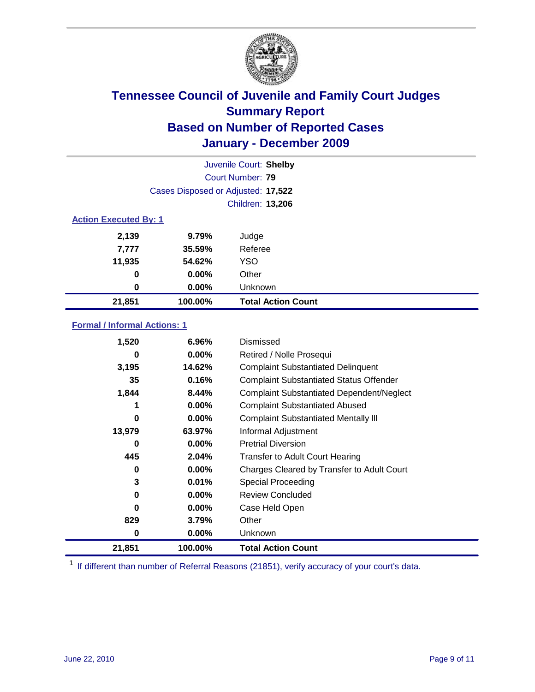

|                              | Juvenile Court: Shelby             |                           |  |  |
|------------------------------|------------------------------------|---------------------------|--|--|
|                              | Court Number: 79                   |                           |  |  |
|                              | Cases Disposed or Adjusted: 17,522 |                           |  |  |
|                              | Children: 13,206                   |                           |  |  |
| <b>Action Executed By: 1</b> |                                    |                           |  |  |
| 2,139                        | 9.79%                              | Judge                     |  |  |
| 7,777                        | 35.59%                             | Referee                   |  |  |
| 11,935                       | 54.62%                             | <b>YSO</b>                |  |  |
| 0                            | $0.00\%$                           | Other                     |  |  |
| 0                            | 0.00%                              | Unknown                   |  |  |
| 21,851                       | 100.00%                            | <b>Total Action Count</b> |  |  |

### **Formal / Informal Actions: 1**

| 1,520  | 6.96%    | Dismissed                                        |
|--------|----------|--------------------------------------------------|
| 0      | $0.00\%$ | Retired / Nolle Prosequi                         |
| 3,195  | 14.62%   | <b>Complaint Substantiated Delinquent</b>        |
| 35     | 0.16%    | <b>Complaint Substantiated Status Offender</b>   |
| 1,844  | 8.44%    | <b>Complaint Substantiated Dependent/Neglect</b> |
| 1      | 0.00%    | <b>Complaint Substantiated Abused</b>            |
| 0      | $0.00\%$ | <b>Complaint Substantiated Mentally III</b>      |
| 13,979 | 63.97%   | Informal Adjustment                              |
| 0      | $0.00\%$ | <b>Pretrial Diversion</b>                        |
| 445    | 2.04%    | <b>Transfer to Adult Court Hearing</b>           |
| 0      | $0.00\%$ | Charges Cleared by Transfer to Adult Court       |
| 3      | 0.01%    | Special Proceeding                               |
| 0      | $0.00\%$ | <b>Review Concluded</b>                          |
| 0      | $0.00\%$ | Case Held Open                                   |
| 829    | 3.79%    | Other                                            |
| 0      | $0.00\%$ | <b>Unknown</b>                                   |
| 21,851 | 100.00%  | <b>Total Action Count</b>                        |

<sup>1</sup> If different than number of Referral Reasons (21851), verify accuracy of your court's data.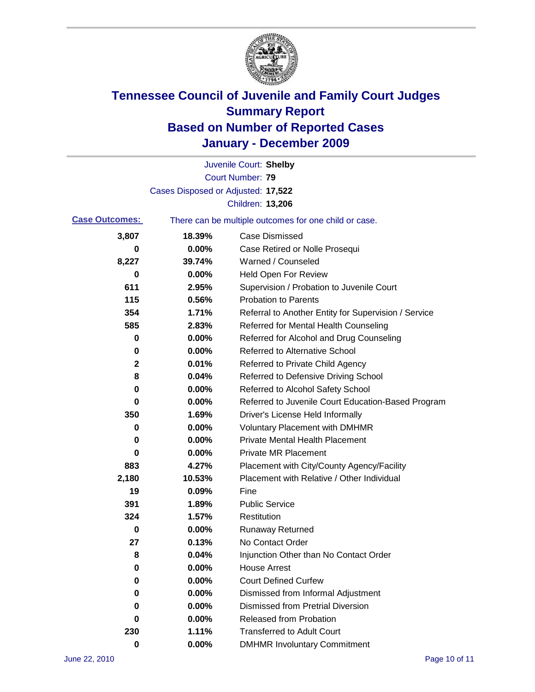

|                       |                                    | Juvenile Court: Shelby                                |
|-----------------------|------------------------------------|-------------------------------------------------------|
|                       |                                    | Court Number: 79                                      |
|                       | Cases Disposed or Adjusted: 17,522 |                                                       |
|                       |                                    | Children: 13,206                                      |
| <b>Case Outcomes:</b> |                                    | There can be multiple outcomes for one child or case. |
| 3,807                 | 18.39%                             | <b>Case Dismissed</b>                                 |
| 0                     | 0.00%                              | Case Retired or Nolle Prosequi                        |
| 8,227                 | 39.74%                             | Warned / Counseled                                    |
| 0                     | 0.00%                              | Held Open For Review                                  |
| 611                   | 2.95%                              | Supervision / Probation to Juvenile Court             |
| 115                   | 0.56%                              | <b>Probation to Parents</b>                           |
| 354                   | 1.71%                              | Referral to Another Entity for Supervision / Service  |
| 585                   | 2.83%                              | Referred for Mental Health Counseling                 |
| 0                     | 0.00%                              | Referred for Alcohol and Drug Counseling              |
| 0                     | 0.00%                              | <b>Referred to Alternative School</b>                 |
| $\mathbf 2$           | 0.01%                              | Referred to Private Child Agency                      |
| 8                     | 0.04%                              | Referred to Defensive Driving School                  |
| 0                     | 0.00%                              | Referred to Alcohol Safety School                     |
| 0                     | 0.00%                              | Referred to Juvenile Court Education-Based Program    |
| 350                   | 1.69%                              | Driver's License Held Informally                      |
| 0                     | 0.00%                              | <b>Voluntary Placement with DMHMR</b>                 |
| 0                     | 0.00%                              | <b>Private Mental Health Placement</b>                |
| 0                     | 0.00%                              | <b>Private MR Placement</b>                           |
| 883                   | 4.27%                              | Placement with City/County Agency/Facility            |
| 2,180                 | 10.53%                             | Placement with Relative / Other Individual            |
| 19                    | 0.09%                              | Fine                                                  |
| 391                   | 1.89%                              | <b>Public Service</b>                                 |
| 324                   | 1.57%                              | Restitution                                           |
| 0                     | 0.00%                              | <b>Runaway Returned</b>                               |
| 27                    | 0.13%                              | No Contact Order                                      |
| 8                     | 0.04%                              | Injunction Other than No Contact Order                |
| 0                     | 0.00%                              | <b>House Arrest</b>                                   |
| 0                     | 0.00%                              | <b>Court Defined Curfew</b>                           |
| 0                     | 0.00%                              | Dismissed from Informal Adjustment                    |
| 0                     | 0.00%                              | <b>Dismissed from Pretrial Diversion</b>              |
| 0                     | 0.00%                              | Released from Probation                               |
| 230                   | 1.11%                              | <b>Transferred to Adult Court</b>                     |
| $\pmb{0}$             | $0.00\%$                           | <b>DMHMR Involuntary Commitment</b>                   |